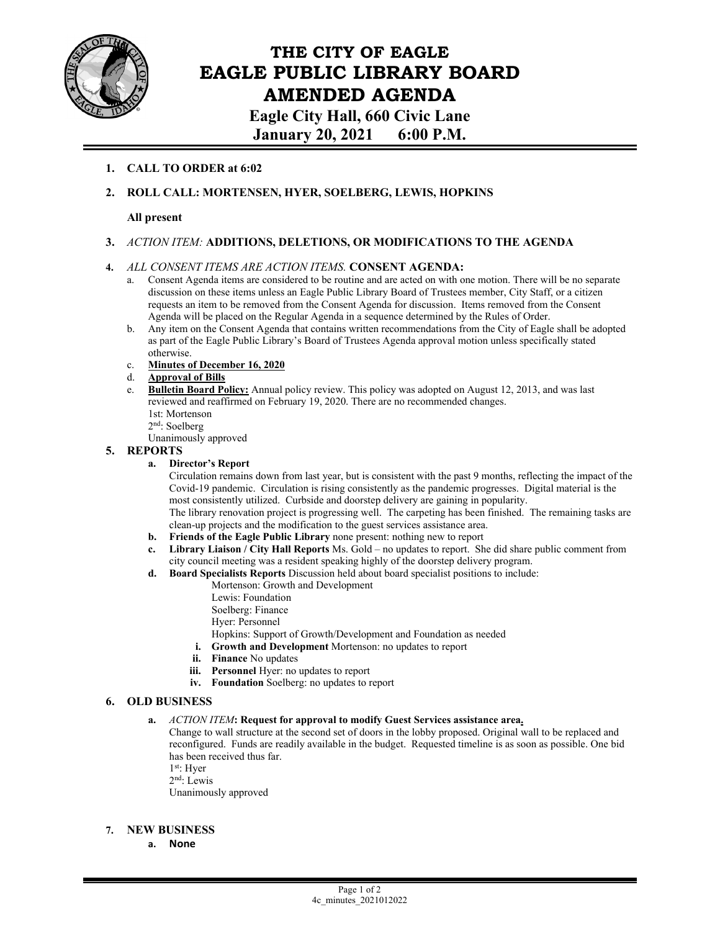

# **THE CITY OF EAGLE EAGLE PUBLIC LIBRARY BOARD AMENDED AGENDA**

**Eagle City Hall, 660 Civic Lane January 20, 2021 6:00 P.M.** 

### **1. CALL TO ORDER at 6:02**

**2. ROLL CALL: MORTENSEN, HYER, SOELBERG, LEWIS, HOPKINS** 

#### **All present**

**3.** *ACTION ITEM:* **ADDITIONS, DELETIONS, OR MODIFICATIONS TO THE AGENDA** 

#### **4.** *ALL CONSENT ITEMS ARE ACTION ITEMS.* **CONSENT AGENDA:**

- a. Consent Agenda items are considered to be routine and are acted on with one motion. There will be no separate discussion on these items unless an Eagle Public Library Board of Trustees member, City Staff, or a citizen requests an item to be removed from the Consent Agenda for discussion. Items removed from the Consent Agenda will be placed on the Regular Agenda in a sequence determined by the Rules of Order.
- b. Any item on the Consent Agenda that contains written recommendations from the City of Eagle shall be adopted as part of the Eagle Public Library's Board of Trustees Agenda approval motion unless specifically stated otherwise.
- c. **Minutes of December 16, 2020**
- d. **Approval of Bills**
- **Bulletin Board Policy:** Annual policy review. This policy was adopted on August 12, 2013, and was last reviewed and reaffirmed on February 19, 2020. There are no recommended changes. 1st: Mortenson 2nd: Soelberg

Unanimously approved

#### **5. REPORTS**

**a. Director's Report** 

Circulation remains down from last year, but is consistent with the past 9 months, reflecting the impact of the Covid-19 pandemic. Circulation is rising consistently as the pandemic progresses. Digital material is the most consistently utilized. Curbside and doorstep delivery are gaining in popularity.

The library renovation project is progressing well. The carpeting has been finished. The remaining tasks are clean-up projects and the modification to the guest services assistance area.

- **b. Friends of the Eagle Public Library** none present: nothing new to report
- **c. Library Liaison / City Hall Reports** Ms. Gold no updates to report. She did share public comment from city council meeting was a resident speaking highly of the doorstep delivery program.
- **d. Board Specialists Reports** Discussion held about board specialist positions to include:
	- Mortenson: Growth and Development
	- Lewis: Foundation
	- Soelberg: Finance
	- Hyer: Personnel
	- Hopkins: Support of Growth/Development and Foundation as needed
	- **i. Growth and Development** Mortenson: no updates to report
	- **ii. Finance** No updates
	- **iii. Personnel** Hyer: no updates to report
	- **iv. Foundation** Soelberg: no updates to report

#### **6. OLD BUSINESS**

**a.** *ACTION ITEM***: Request for approval to modify Guest Services assistance area.** 

Change to wall structure at the second set of doors in the lobby proposed. Original wall to be replaced and reconfigured. Funds are readily available in the budget. Requested timeline is as soon as possible. One bid has been received thus far.

 $1^\mathrm{st}\!\!:$  Hyer

2nd: Lewis

Unanimously approved

#### **7. NEW BUSINESS**

**a. None**